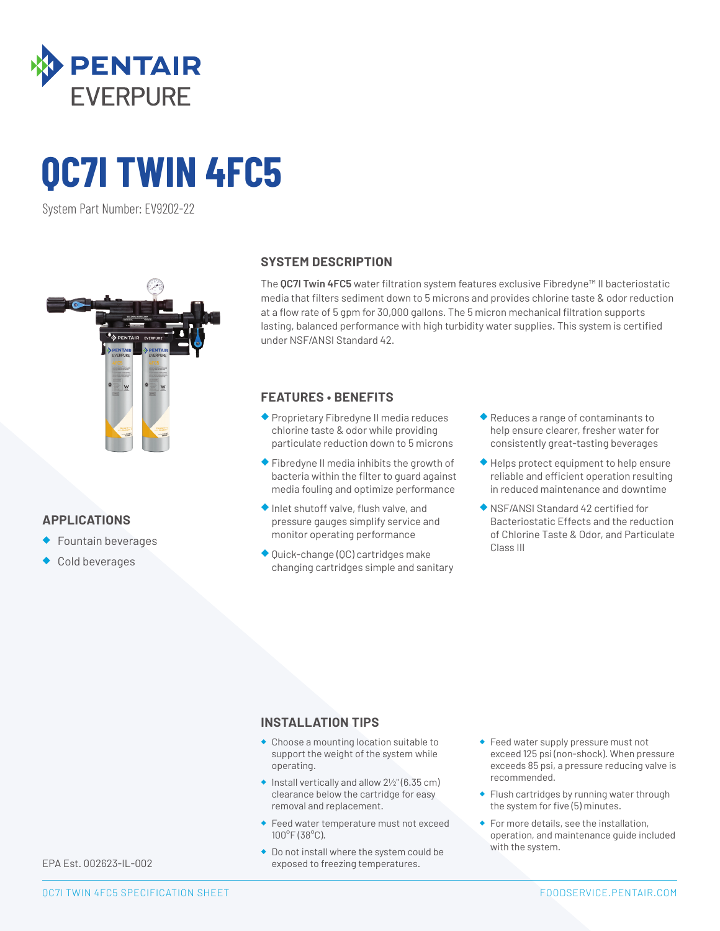

# **QC7I TWIN 4FC5**

System Part Number: EV9202-22



## **APPLICATIONS**

- ◆ Fountain beverages
- Cold beverages

#### **SYSTEM DESCRIPTION**

The **QC7I Twin 4FC5** water filtration system features exclusive Fibredyne™ II bacteriostatic media that filters sediment down to 5 microns and provides chlorine taste & odor reduction at a flow rate of 5 gpm for 30,000 gallons. The 5 micron mechanical filtration supports lasting, balanced performance with high turbidity water supplies. This system is certified under NSF/ANSI Standard 42.

### **FEATURES • BENEFITS**

- ◆ Proprietary Fibredyne II media reduces chlorine taste & odor while providing particulate reduction down to 5 microns
- ◆ Fibredyne II media inhibits the growth of bacteria within the filter to guard against media fouling and optimize performance
- ◆ Inlet shutoff valve, flush valve, and pressure gauges simplify service and monitor operating performance
- ◆ Quick-change (QC) cartridges make changing cartridges simple and sanitary
- ◆ Reduces a range of contaminants to help ensure clearer, fresher water for consistently great-tasting beverages
- ◆ Helps protect equipment to help ensure reliable and efficient operation resulting in reduced maintenance and downtime
- ◆ NSF/ANSI Standard 42 certified for Bacteriostatic Effects and the reduction of Chlorine Taste & Odor, and Particulate Class III

#### **INSTALLATION TIPS**

- ◆ Choose a mounting location suitable to support the weight of the system while operating.
- $\bullet$  Install vertically and allow  $2\frac{1}{2}$ " (6.35 cm) clearance below the cartridge for easy removal and replacement.
- ◆ Feed water temperature must not exceed 100°F (38°C).
- ◆ Do not install where the system could be exposed to freezing temperatures.
- ◆ Feed water supply pressure must not exceed 125 psi (non-shock). When pressure exceeds 85 psi, a pressure reducing valve is recommended.
- ◆ Flush cartridges by running water through the system for five (5) minutes.
- ◆ For more details, see the installation, operation, and maintenance guide included with the system.

EPA Est. 002623-IL-002